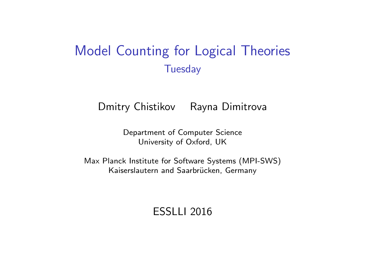## Model Counting for Logical Theories **Tuesday**

Dmitry Chistikov Rayna Dimitrova

Department of Computer Science University of Oxford, UK

Max Planck Institute for Software Systems (MPI-SWS) Kaiserslautern and Saarbrücken, Germany

ESSLLI 2016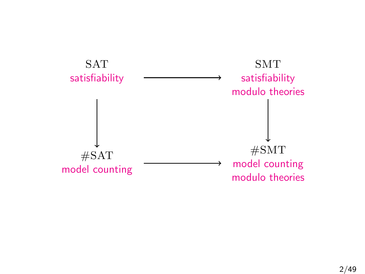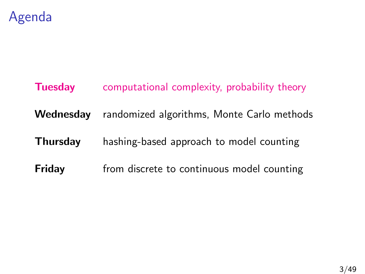

# **Tuesday** computational complexity, probability theory Wednesday randomized algorithms, Monte Carlo methods Thursday hashing-based approach to model counting **Friday** from discrete to continuous model counting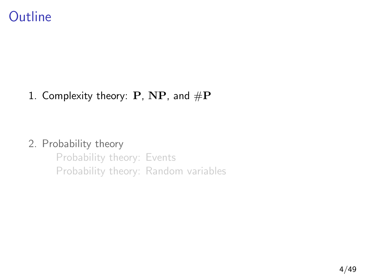

#### 1. [Complexity theory:](#page-3-0) P, NP, and  $\#P$

#### 2. [Probability theory](#page-11-0)

<span id="page-3-0"></span>[Probability theory: Events](#page-16-0) [Probability theory: Random variables](#page-55-0)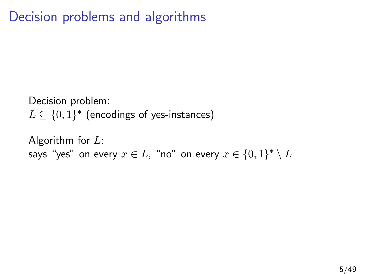# Decision problems and algorithms

Decision problem:  $L \subseteq \{0,1\}^*$  (encodings of yes-instances)

Algorithm for  $L$ : says "yes" on every  $x\in L$ , "no" on every  $x\in \{0,1\}^*\setminus L$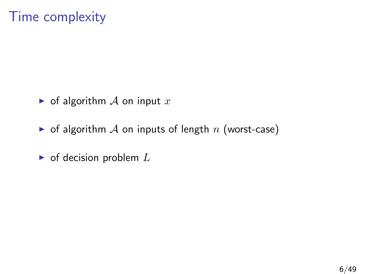# Time complexity

- $\triangleright$  of algorithm  $\mathcal A$  on input  $x$
- $\triangleright$  of algorithm A on inputs of length n (worst-case)
- $\triangleright$  of decision problem  $L$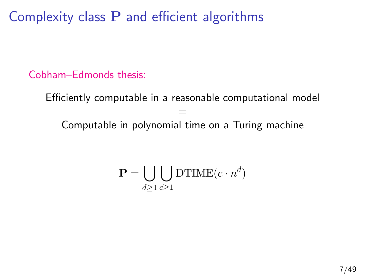Complexity class  $P$  and efficient algorithms

Cobham–Edmonds thesis:

Efficiently computable in a reasonable computational model = Computable in polynomial time on a Turing machine

$$
\mathbf{P} = \bigcup_{d \ge 1} \bigcup_{c \ge 1} \text{DTIME}(c \cdot n^d)
$$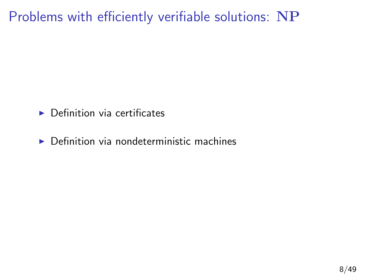# Problems with efficiently verifiable solutions: NP

- $\blacktriangleright$  Definition via certificates
- $\triangleright$  Definition via nondeterministic machines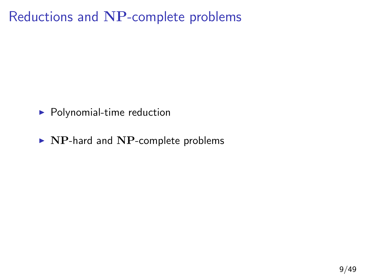## Reductions and NP-complete problems

- $\blacktriangleright$  Polynomial-time reduction
- $\triangleright$  NP-hard and NP-complete problems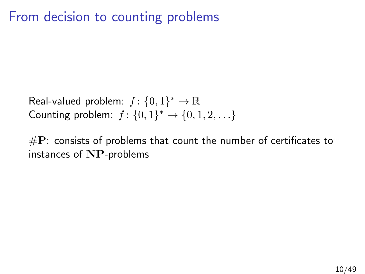# From decision to counting problems

Real-valued problem:  $f: \{0,1\}^* \to \mathbb{R}$ Counting problem:  $f: \{0,1\}^* \to \{0,1,2,...\}$ 

 $\#\mathbf{P}$ : consists of problems that count the number of certificates to instances of NP-problems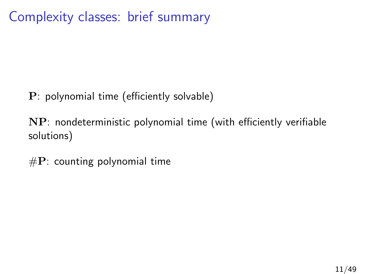Complexity classes: brief summary

P: polynomial time (efficiently solvable)

NP: nondeterministic polynomial time (with efficiently verifiable solutions)

 $\#P$ : counting polynomial time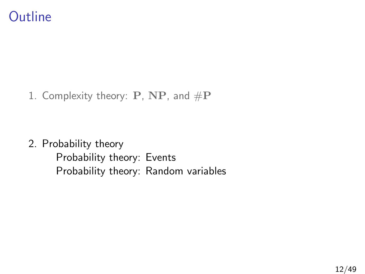1. [Complexity theory:](#page-3-0) P, NP, and  $\#P$ 

<span id="page-11-0"></span>2. [Probability theory](#page-11-0) [Probability theory: Events](#page-16-0) [Probability theory: Random variables](#page-55-0)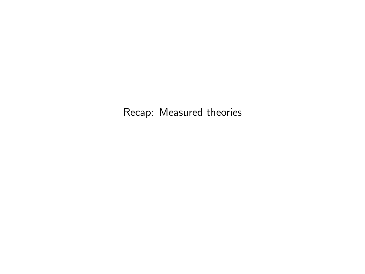Recap: Measured theories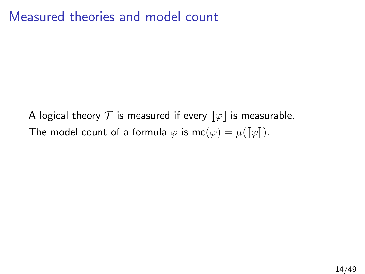### Measured theories and model count

A logical theory  $\mathcal T$  is measured if every  $\llbracket \varphi \rrbracket$  is measurable. The model count of a formula  $\varphi$  is  $mc(\varphi) = \mu([\varphi]).$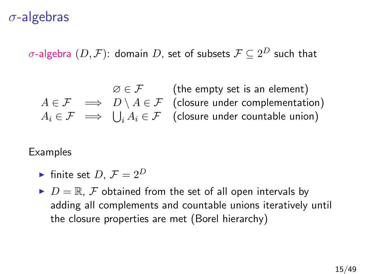### σ-algebras

 $\sigma$ -algebra  $(D,\mathcal{F})$ : domain  $D$ , set of subsets  $\mathcal{F}\subseteq 2^D$  such that

 $\emptyset \in \mathcal{F}$  (the empty set is an element)  $A \in \mathcal{F} \implies D \setminus A \in \mathcal{F}$  (closure under complementation)  $A_i \in \mathcal{F} \implies \bigcup_i A_i \in \mathcal{F}$  (closure under countable union)

**Examples** 

- If finite set  $D, \mathcal{F} = 2^D$
- $D = \mathbb{R}, \mathcal{F}$  obtained from the set of all open intervals by adding all complements and countable unions iteratively until the closure properties are met (Borel hierarchy)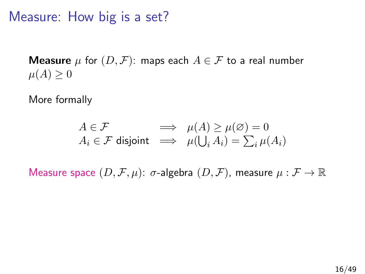Measure: How big is a set?

**Measure**  $\mu$  for  $(D, \mathcal{F})$ : maps each  $A \in \mathcal{F}$  to a real number  $\mu(A) \geq 0$ 

More formally

$$
\begin{array}{rcl} A \in \mathcal{F} & \implies & \mu(A) \geq \mu(\varnothing) = 0 \\ A_i \in \mathcal{F} \text{ disjoint} & \implies & \mu(\bigcup_i A_i) = \sum_i \mu(A_i) \end{array}
$$

Measure space  $(D, \mathcal{F}, \mu)$ :  $\sigma$ -algebra  $(D, \mathcal{F})$ , measure  $\mu : \mathcal{F} \to \mathbb{R}$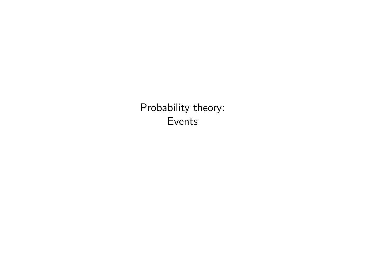<span id="page-16-0"></span>Probability theory: Events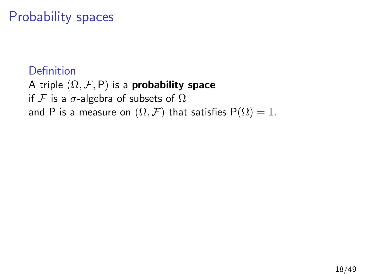# Probability spaces

#### Definition

A triple  $(\Omega, \mathcal{F}, P)$  is a **probability space** if F is a  $\sigma$ -algebra of subsets of  $\Omega$ and P is a measure on  $(\Omega, \mathcal{F})$  that satisfies  $P(\Omega) = 1$ .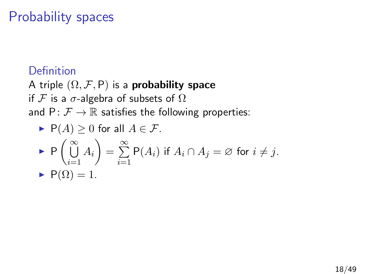# Probability spaces

#### Definition

A triple  $(\Omega, \mathcal{F}, P)$  is a **probability space** if F is a  $\sigma$ -algebra of subsets of  $\Omega$ and  $P: \mathcal{F} \to \mathbb{R}$  satisfies the following properties:

\n- $$
\mathsf{P}(A) \geq 0
$$
 for all  $A \in \mathcal{F}$ .
\n- $\mathsf{P}\left(\bigcup_{i=1}^{\infty} A_i\right) = \sum_{i=1}^{\infty} \mathsf{P}(A_i)$  if  $A_i \cap A_j = \emptyset$  for  $i \neq j$ .
\n- $\mathsf{P}(\Omega) = 1$ .
\n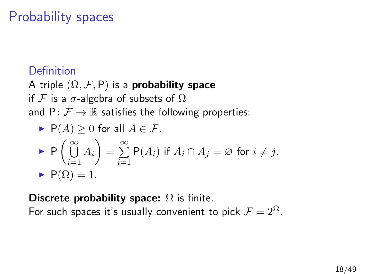# Probability spaces

#### Definition

A triple  $(\Omega, \mathcal{F}, P)$  is a **probability space** if F is a  $\sigma$ -algebra of subsets of  $\Omega$ and  $P: \mathcal{F} \to \mathbb{R}$  satisfies the following properties:

\n- $$
P(A) \geq 0
$$
 for all  $A \in \mathcal{F}$ .
\n- $P\left(\bigcup_{i=1}^{\infty} A_i\right) = \sum_{i=1}^{\infty} P(A_i)$  if  $A_i \cap A_j = \emptyset$  for  $i \neq j$ .
\n- $P(\Omega) = 1$ .
\n

Discrete probability space:  $\Omega$  is finite.

For such spaces it's usually convenient to pick  $\mathcal{F} = 2^{\Omega}$ .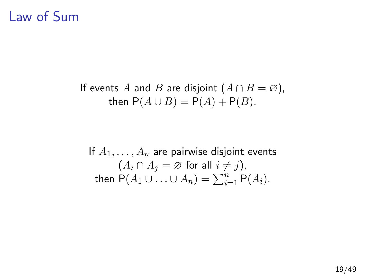### Law of Sum

If events A and B are disjoint  $(A \cap B = \emptyset)$ , then  $P(A \cup B) = P(A) + P(B)$ .

If  $A_1, \ldots, A_n$  are pairwise disjoint events  $(A_i \cap A_j = \emptyset$  for all  $i \neq j$ ), then  $P(A_1 \cup \ldots \cup A_n) = \sum_{i=1}^n P(A_i)$ .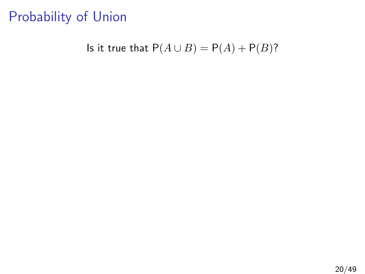### Probability of Union

Is it true that  $P(A \cup B) = P(A) + P(B)$ ?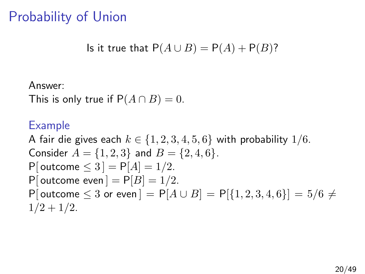### Probability of Union

Is it true that 
$$
P(A \cup B) = P(A) + P(B)
$$
?

Answer:

This is only true if  $P(A \cap B) = 0$ .

#### Example

A fair die gives each  $k \in \{1, 2, 3, 4, 5, 6\}$  with probability  $1/6$ . Consider  $A = \{1, 2, 3\}$  and  $B = \{2, 4, 6\}$ . P[ outcome  $\leq 3$ ] = P[ $A$ ] = 1/2. P[ outcome even  $] = P[B] = 1/2$ . P[ outcome  $\leq 3$  or even  $] = P[A \cup B] = P[{1, 2, 3, 4, 6}] = 5/6 \neq$  $1/2 + 1/2$ .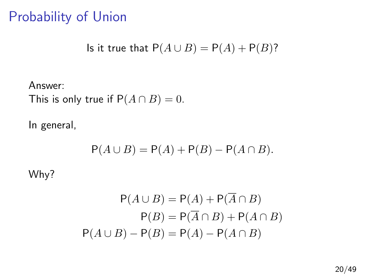### Probability of Union

Is it true that 
$$
P(A \cup B) = P(A) + P(B)
$$
?

Answer: This is only true if  $P(A \cap B) = 0$ .

In general,

$$
P(A \cup B) = P(A) + P(B) - P(A \cap B).
$$

Why?

$$
P(A \cup B) = P(A) + P(\overline{A} \cap B)
$$

$$
P(B) = P(\overline{A} \cap B) + P(A \cap B)
$$

$$
P(A \cup B) - P(B) = P(A) - P(A \cap B)
$$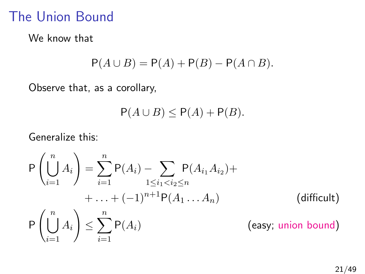### The Union Bound

We know that

$$
P(A \cup B) = P(A) + P(B) - P(A \cap B).
$$

Observe that, as a corollary,

$$
P(A \cup B) \le P(A) + P(B).
$$

Generalize this:

$$
P\left(\bigcup_{i=1}^{n} A_{i}\right) = \sum_{i=1}^{n} P(A_{i}) - \sum_{1 \leq i_{1} < i_{2} \leq n} P(A_{i_{1}} A_{i_{2}}) + \cdots + (-1)^{n+1} P(A_{1} \cdots A_{n}) \qquad \qquad \text{(difficult)}
$$
\n
$$
P\left(\bigcup_{i=1}^{n} A_{i}\right) \leq \sum_{i=1}^{n} P(A_{i}) \qquad \qquad \text{(easy; union bound)}
$$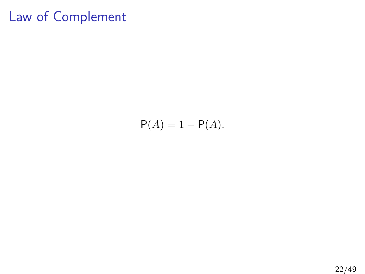# Law of Complement

$$
P(\overline{A}) = 1 - P(A).
$$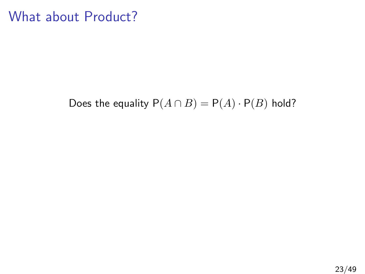### What about Product?

Does the equality  $P(A \cap B) = P(A) \cdot P(B)$  hold?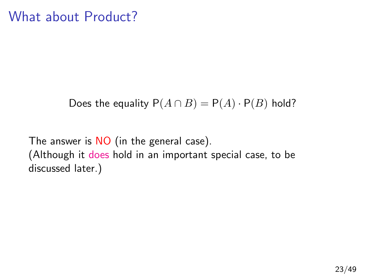### What about Product?

Does the equality  $P(A \cap B) = P(A) \cdot P(B)$  hold?

The answer is NO (in the general case). (Although it does hold in an important special case, to be discussed later.)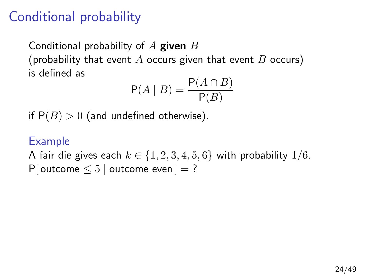Conditional probability of  $A$  given  $B$ (probability that event A occurs given that event B occurs) is defined as

$$
\mathsf{P}(A \mid B) = \frac{\mathsf{P}(A \cap B)}{\mathsf{P}(B)}
$$

if  $P(B) > 0$  (and undefined otherwise).

#### Example

A fair die gives each  $k \in \{1, 2, 3, 4, 5, 6\}$  with probability  $1/6$ . P[ outcome  $\leq 5$  | outcome even ] = ?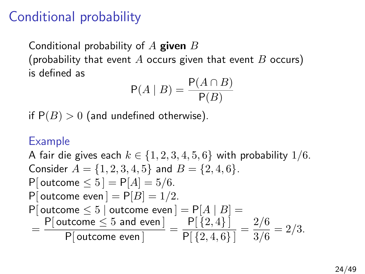Conditional probability of  $A$  given  $B$ (probability that event A occurs given that event B occurs) is defined as

$$
\mathsf{P}(A \mid B) = \frac{\mathsf{P}(A \cap B)}{\mathsf{P}(B)}
$$

if  $P(B) > 0$  (and undefined otherwise).

#### Example

A fair die gives each  $k \in \{1, 2, 3, 4, 5, 6\}$  with probability  $1/6$ . Consider  $A = \{1, 2, 3, 4, 5\}$  and  $B = \{2, 4, 6\}.$ P[ outcome  $\le 5$ ] = P[A] = 5/6. P[ outcome even  $] = P[B] = 1/2$ . P[ outcome  $\leq 5$  | outcome even ] = P[A | B] =  $=\frac{P[$  outcome  $\leq 5$  and even  $]}{P[}$  $\frac{\text{ptcome}\leq 5 \text{ and even}}{\text{P}[\text{outcome even}]} = \frac{\text{P}[\{2,4\}]}{\text{P}[\{2,4,6\}]}$  $\frac{\mathsf{P}[\{2,4\}]}{\mathsf{P}[\{2,4,6\}]} = \frac{2/6}{3/6}$  $\frac{276}{3/6} = 2/3.$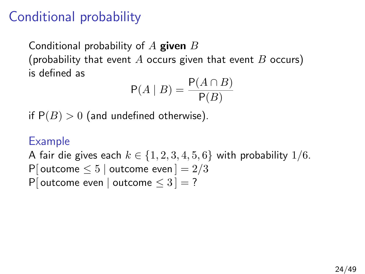Conditional probability of  $A$  given  $B$ (probability that event A occurs given that event B occurs) is defined as

$$
\mathsf{P}(A \mid B) = \frac{\mathsf{P}(A \cap B)}{\mathsf{P}(B)}
$$

if  $P(B) > 0$  (and undefined otherwise).

#### Example

A fair die gives each  $k \in \{1, 2, 3, 4, 5, 6\}$  with probability  $1/6$ . P[ outcome  $\leq 5$  | outcome even  $] = 2/3$ P[ outcome even | outcome  $\leq 3$  ] = ?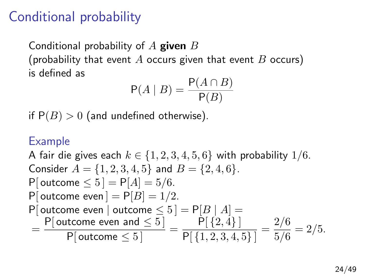Conditional probability of  $A$  given  $B$ (probability that event A occurs given that event B occurs) is defined as

$$
\mathsf{P}(A \mid B) = \frac{\mathsf{P}(A \cap B)}{\mathsf{P}(B)}
$$

if  $P(B) > 0$  (and undefined otherwise).

#### Example

A fair die gives each  $k \in \{1, 2, 3, 4, 5, 6\}$  with probability  $1/6$ . Consider  $A = \{1, 2, 3, 4, 5\}$  and  $B = \{2, 4, 6\}.$ P[ outcome  $\le 5$ ] = P[A] = 5/6. P[ outcome even  $] = P[B] = 1/2$ . P[ outcome even | outcome  $\leq 5$  ] = P[B | A] =  $= \frac{P[\text{outcome even and } \leq 5]}{P[\text{outcome } \leq 5]} = \frac{P[\{2,4\}]}{P[\{1,2,3,4,4,4,5,5\}]}$  $\frac{P[\{2,4\}]}{P[\{1,2,3,4,5\}]} = \frac{2/6}{5/6}$  $\frac{276}{5/6} = 2/5.$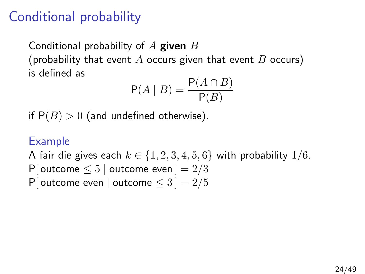Conditional probability of  $A$  given  $B$ (probability that event A occurs given that event B occurs) is defined as

$$
\mathsf{P}(A \mid B) = \frac{\mathsf{P}(A \cap B)}{\mathsf{P}(B)}
$$

if  $P(B) > 0$  (and undefined otherwise).

#### Example

A fair die gives each  $k \in \{1, 2, 3, 4, 5, 6\}$  with probability  $1/6$ . P[ outcome  $\leq 5$  | outcome even  $] = 2/3$ P[ outcome even | outcome  $\leq 3$  ] = 2/5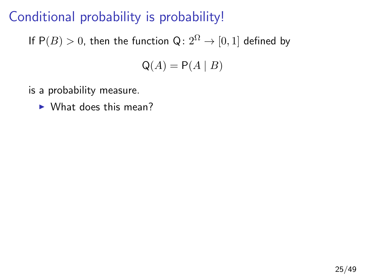# Conditional probability is probability!

If  $P(B) > 0$ , then the function  $Q: 2^{\Omega} \rightarrow [0, 1]$  defined by

$$
\mathsf{Q}(A) = \mathsf{P}(A \mid B)
$$

- is a probability measure.
	- $\triangleright$  What does this mean?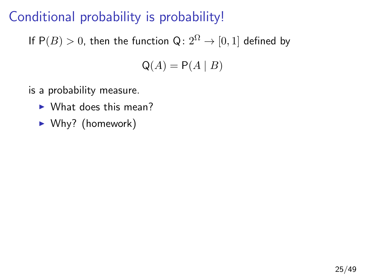# Conditional probability is probability!

If  $P(B) > 0$ , then the function  $Q: 2^{\Omega} \rightarrow [0, 1]$  defined by

$$
\mathsf{Q}(A) = \mathsf{P}(A \mid B)
$$

- is a probability measure.
	- $\blacktriangleright$  What does this mean?
	- $\blacktriangleright$  Why? (homework)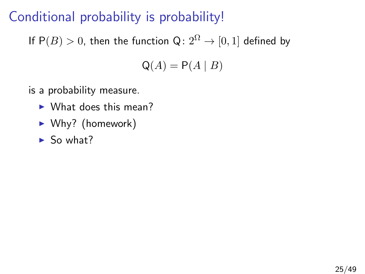# Conditional probability is probability!

If  $P(B) > 0$ , then the function  $Q: 2^{\Omega} \rightarrow [0, 1]$  defined by

$$
\mathsf{Q}(A) = \mathsf{P}(A \mid B)
$$

- is a probability measure.
	- $\blacktriangleright$  What does this mean?
	- $\blacktriangleright$  Why? (homework)
	- $\blacktriangleright$  So what?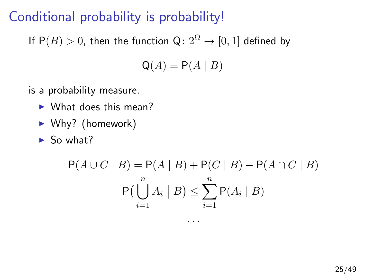# Conditional probability is probability!

If  $P(B) > 0$ , then the function  $Q: 2^{\Omega} \to [0, 1]$  defined by

$$
\mathsf{Q}(A) = \mathsf{P}(A \mid B)
$$

- is a probability measure.
	- $\blacktriangleright$  What does this mean?
	- $\blacktriangleright$  Why? (homework)
	- $\blacktriangleright$  So what?

$$
P(A \cup C \mid B) = P(A \mid B) + P(C \mid B) - P(A \cap C \mid B)
$$
  
 
$$
P(\bigcup_{i=1}^{n} A_i \mid B) \le \sum_{i=1}^{n} P(A_i \mid B)
$$

. . .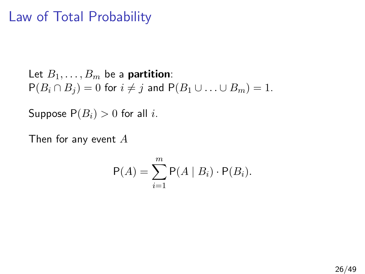## Law of Total Probability

Let  $B_1, \ldots, B_m$  be a **partition**:  $P(B_i \cap B_j) = 0$  for  $i \neq j$  and  $P(B_1 \cup \ldots \cup B_m) = 1$ .

Suppose  $P(B_i) > 0$  for all *i*.

Then for any event A

$$
\mathsf{P}(A) = \sum_{i=1}^{m} \mathsf{P}(A \mid B_i) \cdot \mathsf{P}(B_i).
$$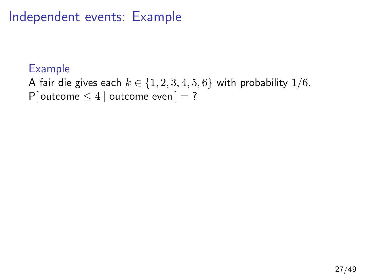Independent events: Example

### Example

A fair die gives each  $k \in \{1, 2, 3, 4, 5, 6\}$  with probability  $1/6$ . P[ outcome  $\leq 4$  | outcome even ] = ?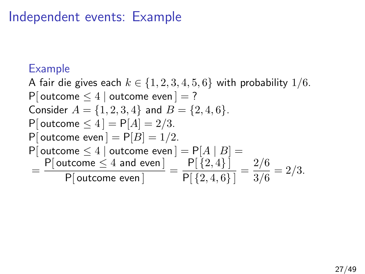## Independent events: Example

### Example

A fair die gives each  $k \in \{1, 2, 3, 4, 5, 6\}$  with probability  $1/6$ . P[ outcome  $\leq 4$  | outcome even ] = ? Consider  $A = \{1, 2, 3, 4\}$  and  $B = \{2, 4, 6\}.$ P[ outcome  $\leq 4$ ] = P[ $A$ ] = 2/3. P[ outcome even  $] = P[B] = 1/2$ . P[ outcome  $\leq 4$  | outcome even  $] = P[A | B] =$  $=\frac{P[$  outcome  $\leq 4$  and even  $]}{P[$  $\frac{\text{utoome}\leq 4 \text{ and even}}{\text{P}[\text{outcome even}]} = \frac{\text{P}[\{2,4\}]}{\text{P}[\{2,4,6\}]}$  $\frac{\mathsf{P}[\{2,4\}\,]}{\mathsf{P}[\{2,4,6\}\,]} = \frac{2/6}{3/6}$  $\frac{278}{3/6} = 2/3.$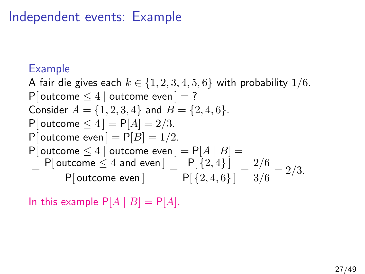## Independent events: Example

### Example

A fair die gives each  $k \in \{1, 2, 3, 4, 5, 6\}$  with probability  $1/6$ . P[ outcome  $\leq 4$  | outcome even ] = ? Consider  $A = \{1, 2, 3, 4\}$  and  $B = \{2, 4, 6\}.$ P[ outcome  $\leq 4$ ] = P[ $A$ ] = 2/3. P[ outcome even  $] = P[B] = 1/2$ . P[ outcome  $\leq 4$  | outcome even  $] = P[A | B] =$  $=\frac{P[$  outcome  $\leq 4$  and even  $]}{P[$  $\frac{\text{utoome}\leq 4 \text{ and even}}{\text{P}[\text{outcome even}]} = \frac{\text{P}[\{2,4\}]}{\text{P}[\{2,4,6\}]}$  $\frac{\mathsf{P}[\{2,4\}\,]}{\mathsf{P}[\{2,4,6\}\,]} = \frac{2/6}{3/6}$  $\frac{278}{3/6} = 2/3.$ 

In this example  $P[A \mid B] = P[A]$ .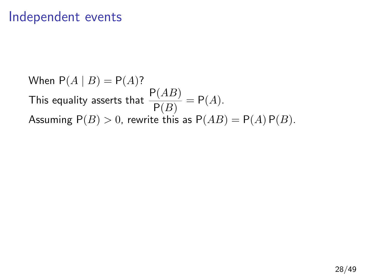### Independent events

When  $P(A | B) = P(A)$ ? This equality asserts that  $\frac{\mathsf{P}(AB)}{\mathsf{P}(B)} = \mathsf{P}(A).$ Assuming  $P(B) > 0$ , rewrite this as  $P(AB) = P(A) P(B)$ .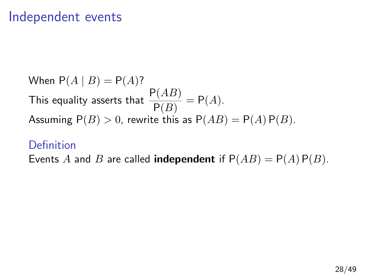## Independent events

When  $P(A | B) = P(A)$ ? This equality asserts that  $\frac{\mathsf{P}(AB)}{\mathsf{P}(B)} = \mathsf{P}(A).$ Assuming  $P(B) > 0$ , rewrite this as  $P(AB) = P(A) P(B)$ .

### **Definition**

Events A and B are called **independent** if  $P(AB) = P(A) P(B)$ .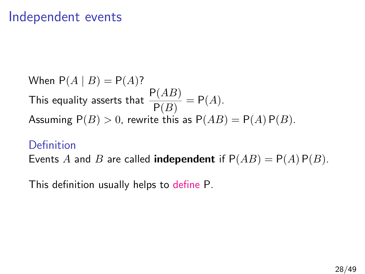## Independent events

When  $P(A | B) = P(A)$ ? This equality asserts that  $\frac{\mathsf{P}(AB)}{\mathsf{P}(B)} = \mathsf{P}(A).$ Assuming  $P(B) > 0$ , rewrite this as  $P(AB) = P(A) P(B)$ .

#### Definition

Events A and B are called **independent** if  $P(AB) = P(A) P(B)$ .

This definition usually helps to define P.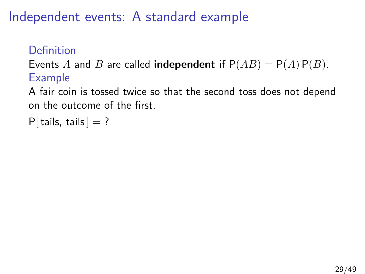## Definition

Events A and B are called **independent** if  $P(AB) = P(A) P(B)$ . Example

A fair coin is tossed twice so that the second toss does not depend on the outcome of the first.

```
P[ tails, tails ] = ?
```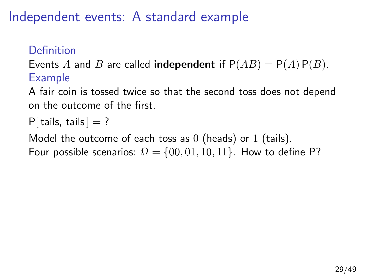## Definition

Events A and B are called **independent** if  $P(AB) = P(A) P(B)$ . Example

A fair coin is tossed twice so that the second toss does not depend on the outcome of the first.

```
P[tails, tails] = ?
```
Model the outcome of each toss as  $0$  (heads) or  $1$  (tails). Four possible scenarios:  $\Omega = \{00, 01, 10, 11\}$ . How to define P?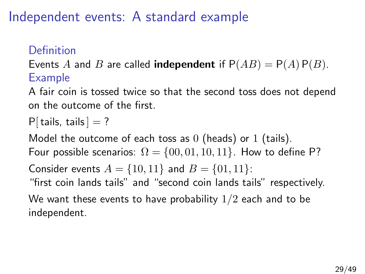## Definition

Events A and B are called **independent** if  $P(AB) = P(A) P(B)$ . Example

A fair coin is tossed twice so that the second toss does not depend on the outcome of the first.

```
P[ tails, tails ] = ?
```
Model the outcome of each toss as  $0$  (heads) or  $1$  (tails). Four possible scenarios:  $\Omega = \{00, 01, 10, 11\}$ . How to define P?

Consider events  $A = \{10, 11\}$  and  $B = \{01, 11\}$ :

"first coin lands tails" and "second coin lands tails" respectively.

We want these events to have probability  $1/2$  each and to be independent.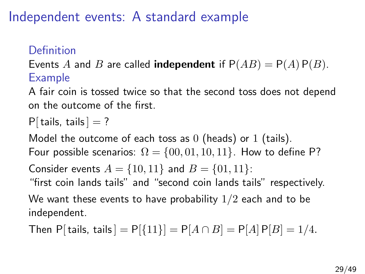## Definition

Events A and B are called **independent** if  $P(AB) = P(A) P(B)$ . Example

A fair coin is tossed twice so that the second toss does not depend on the outcome of the first.

$$
P[ tails, tails] = ?
$$

Model the outcome of each toss as  $0$  (heads) or  $1$  (tails). Four possible scenarios:  $\Omega = \{00, 01, 10, 11\}$ . How to define P?

Consider events  $A = \{10, 11\}$  and  $B = \{01, 11\}$ :

"first coin lands tails" and "second coin lands tails" respectively.

We want these events to have probability  $1/2$  each and to be independent.

Then P[tails, tails] =  $P[{11}] = P[A \cap B] = P[A] P[B] = 1/4$ .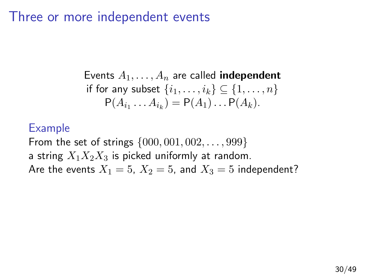## Three or more independent events

Events  $A_1, \ldots, A_n$  are called **independent** if for any subset  $\{i_1, \ldots, i_k\} \subseteq \{1, \ldots, n\}$  $P(A_{i_1} \ldots A_{i_k}) = P(A_1) \ldots P(A_k).$ 

#### Example

From the set of strings  $\{000, 001, 002, \ldots, 999\}$ a string  $X_1X_2X_3$  is picked uniformly at random. Are the events  $X_1 = 5$ ,  $X_2 = 5$ , and  $X_3 = 5$  independent?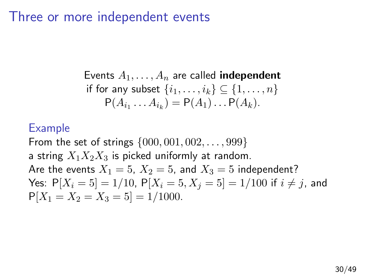### Three or more independent events

Events  $A_1, \ldots, A_n$  are called **independent** if for any subset  $\{i_1, \ldots, i_k\} \subseteq \{1, \ldots, n\}$  $P(A_{i_1} \ldots A_{i_k}) = P(A_1) \ldots P(A_k).$ 

#### Example

From the set of strings  $\{000, 001, 002, \ldots, 999\}$ a string  $X_1X_2X_3$  is picked uniformly at random. Are the events  $X_1 = 5$ ,  $X_2 = 5$ , and  $X_3 = 5$  independent? Yes:  $P[X_i = 5] = 1/10$ ,  $P[X_i = 5, X_j = 5] = 1/100$  if  $i \neq j$ , and  $P[X_1 = X_2 = X_3 = 5] = 1/1000.$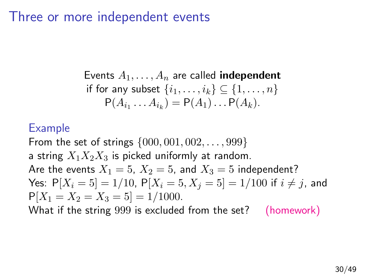## Three or more independent events

Events  $A_1, \ldots, A_n$  are called **independent** if for any subset  $\{i_1, \ldots, i_k\} \subseteq \{1, \ldots, n\}$  $P(A_{i_1} \ldots A_{i_k}) = P(A_1) \ldots P(A_k).$ 

#### Example

From the set of strings  $\{000, 001, 002, \ldots, 999\}$ a string  $X_1X_2X_3$  is picked uniformly at random. Are the events  $X_1 = 5$ ,  $X_2 = 5$ , and  $X_3 = 5$  independent? Yes:  $P[X_i = 5] = 1/10$ ,  $P[X_i = 5, X_i = 5] = 1/100$  if  $i \neq j$ , and  $P[X_1 = X_2 = X_3 = 5] = 1/1000.$ 

What if the string 999 is excluded from the set? (homework)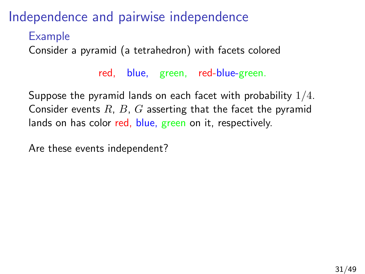Example

Consider a pyramid (a tetrahedron) with facets colored

red, blue, green, red-blue-green.

Suppose the pyramid lands on each facet with probability 1/4. Consider events  $R$ ,  $B$ ,  $G$  asserting that the facet the pyramid lands on has color red, blue, green on it, respectively.

Are these events independent?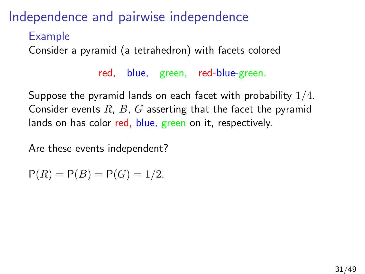Example

Consider a pyramid (a tetrahedron) with facets colored

red, blue, green, red-blue-green.

Suppose the pyramid lands on each facet with probability 1/4. Consider events  $R$ ,  $B$ ,  $G$  asserting that the facet the pyramid lands on has color red, blue, green on it, respectively.

Are these events independent?

$$
P(R) = P(B) = P(G) = 1/2.
$$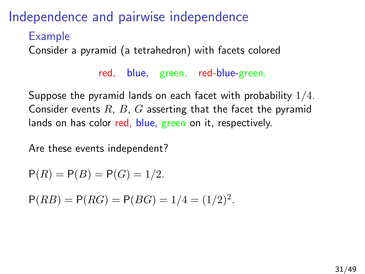Example

Consider a pyramid (a tetrahedron) with facets colored

red, blue, green, red-blue-green.

Suppose the pyramid lands on each facet with probability 1/4. Consider events  $R$ ,  $B$ ,  $G$  asserting that the facet the pyramid lands on has color red, blue, green on it, respectively.

Are these events independent?

 $P(R) = P(B) = P(G) = 1/2.$ 

 $P(RB) = P(RG) = P(BG) = 1/4 = (1/2)^2$ .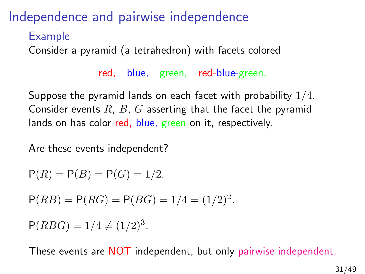Example

Consider a pyramid (a tetrahedron) with facets colored

red, blue, green, red-blue-green.

Suppose the pyramid lands on each facet with probability 1/4. Consider events  $R$ ,  $B$ ,  $G$  asserting that the facet the pyramid lands on has color red, blue, green on it, respectively.

Are these events independent?

$$
P(R) = P(B) = P(G) = 1/2.
$$

 $P(RB) = P(RG) = P(BG) = 1/4 = (1/2)^2$ .

 $P(RBG) = 1/4 \neq (1/2)^3$ .

These events are NOT independent, but only pairwise independent.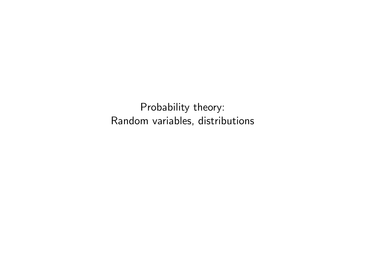Probability theory: Random variables, distributions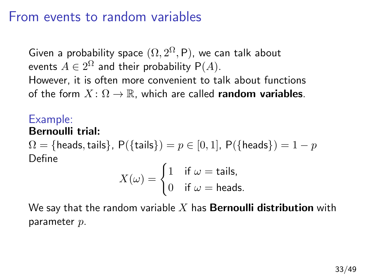## From events to random variables

Given a probability space  $(\Omega, 2^{\Omega}, \mathsf{P})$ , we can talk about events  $A\in 2^{\Omega}$  and their probability  $\mathsf{P}(A).$ However, it is often more convenient to talk about functions of the form  $X: \Omega \to \mathbb{R}$ , which are called **random variables**.

### Example:

#### Bernoulli trial:

 $\Omega = \{\text{heads}, \text{tails}\}, P(\{\text{tails}\}) = p \in [0, 1], P(\{\text{heads}\}) = 1 - p$ Define

$$
X(\omega) = \begin{cases} 1 & \text{if } \omega = \text{tails}, \\ 0 & \text{if } \omega = \text{heads}. \end{cases}
$$

We say that the random variable X has **Bernoulli distribution** with parameter p.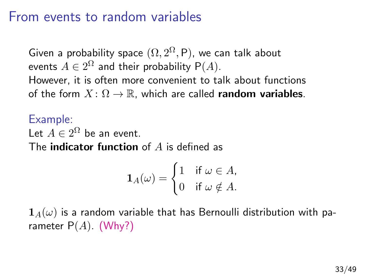## From events to random variables

Given a probability space  $(\Omega, 2^{\Omega}, \mathsf{P})$ , we can talk about events  $A\in 2^{\Omega}$  and their probability  $\mathsf{P}(A).$ However, it is often more convenient to talk about functions of the form  $X: \Omega \to \mathbb{R}$ , which are called **random variables**.

Example: Let  $A \in 2^{\Omega}$  be an event. The **indicator function** of  $A$  is defined as

$$
\mathbf{1}_A(\omega) = \begin{cases} 1 & \text{if } \omega \in A, \\ 0 & \text{if } \omega \notin A. \end{cases}
$$

 $1_A(\omega)$  is a random variable that has Bernoulli distribution with parameter  $P(A)$ . (Why?)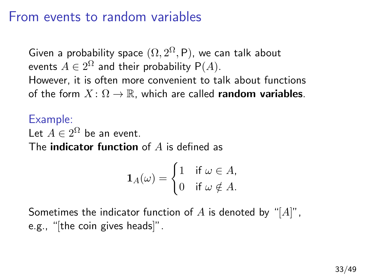## From events to random variables

Given a probability space  $(\Omega, 2^{\Omega}, \mathsf{P})$ , we can talk about events  $A\in 2^{\Omega}$  and their probability  $\mathsf{P}(A).$ However, it is often more convenient to talk about functions of the form  $X: \Omega \to \mathbb{R}$ , which are called **random variables**.

Example: Let  $A \in 2^{\Omega}$  be an event. The **indicator function** of  $A$  is defined as

$$
\mathbf{1}_A(\omega) = \begin{cases} 1 & \text{if } \omega \in A, \\ 0 & \text{if } \omega \notin A. \end{cases}
$$

Sometimes the indicator function of A is denoted by "[A]", e.g., "[the coin gives heads]".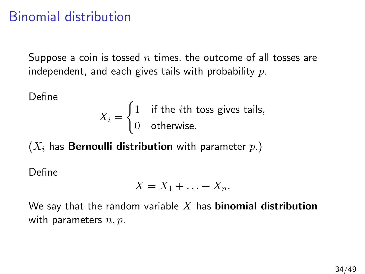## Binomial distribution

Suppose a coin is tossed  $n$  times, the outcome of all tosses are independent, and each gives tails with probability  $p$ .

Define

$$
X_i = \begin{cases} 1 & \text{if the } i\text{th toss gives tails,} \\ 0 & \text{otherwise.} \end{cases}
$$

 $(X_i)$  has **Bernoulli distribution** with parameter  $p.$ )

Define

$$
X = X_1 + \ldots + X_n.
$$

We say that the random variable X has **binomial distribution** with parameters  $n, p$ .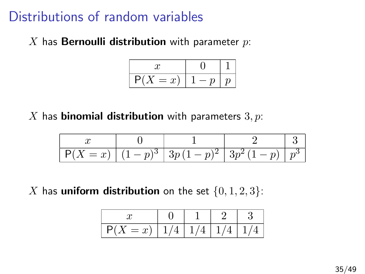# Distributions of random variables

X has **Bernoulli distribution** with parameter  $p$ :

$$
\begin{array}{|c|c|c|c|}\n\hline\nx & 0 & 1 \\
\hline\nP(X = x) & 1-p & p \\
\hline\n\end{array}
$$

X has **binomial distribution** with parameters  $3, p$ :

| $-r$<br>u | $- n$ | $\boldsymbol{\nu}$<br>ັ | ິ |  |
|-----------|-------|-------------------------|---|--|

X has uniform distribution on the set  $\{0, 1, 2, 3\}$ :

|  | $+$ $-$ |  |
|--|---------|--|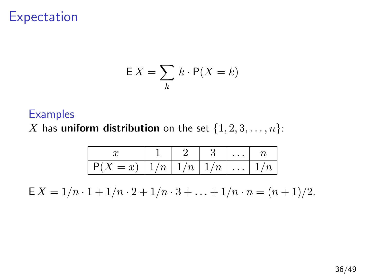## **Expectation**

$$
\mathsf{E}\,X = \sum_k\,k\cdot\mathsf{P}(X = k)
$$

#### **Examples**

X has **uniform distribution** on the set  $\{1, 2, 3, \ldots, n\}$ :

| $P(X = x)   1/n   1/n   1/n      1/n$<br>$\mathbf{L}$ |  |  |  |
|-------------------------------------------------------|--|--|--|

 $E X = 1/n \cdot 1 + 1/n \cdot 2 + 1/n \cdot 3 + \ldots + 1/n \cdot n = (n+1)/2.$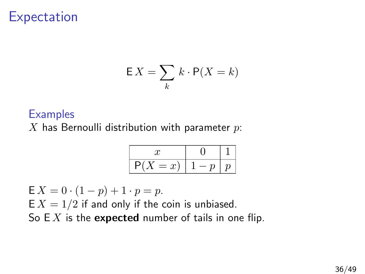## **Expectation**

$$
\mathsf{E}\,X = \sum_k\,k\cdot\mathsf{P}(X = k)
$$

#### **Examples**

 $X$  has Bernoulli distribution with parameter  $p$ :

$$
\begin{array}{|c|c|c|c|}\n\hline\nx & 0 & 1 \\
\hline\nP(X=x) & 1-p & p\n\end{array}
$$

 $E X = 0 \cdot (1 - p) + 1 \cdot p = p.$  $E X = 1/2$  if and only if the coin is unbiased. So  $EX$  is the expected number of tails in one flip.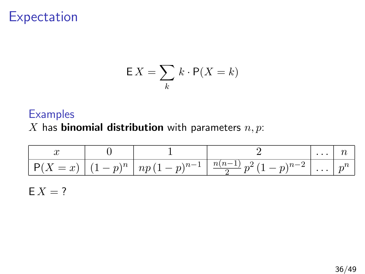## Expectation

$$
\mathsf{E}\,X = \sum_k\,k\cdot\mathsf{P}(X = k)
$$

#### **Examples**

X has **binomial distribution** with parameters  $n, p$ :

|  | $ P(X = x)   (1-p)^n   np(1-p)^{n-1}   \frac{n(n-1)}{2} p^2 (1-p)^{n-2}      p^n$ |  |
|--|-----------------------------------------------------------------------------------|--|

 $E X = ?$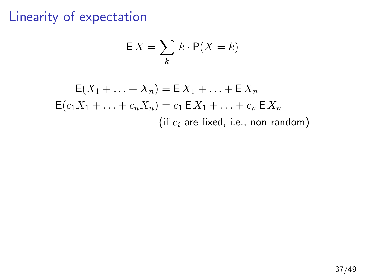## Linearity of expectation

$$
\mathsf{E}\,X = \sum_k\,k\cdot\mathsf{P}(X = k)
$$

$$
E(X_1 + \dots + X_n) = E X_1 + \dots + E X_n
$$
  
\n
$$
E(c_1 X_1 + \dots + c_n X_n) = c_1 E X_1 + \dots + c_n E X_n
$$
  
\n(if *c<sub>i</sub>* are fixed, i.e., non-random)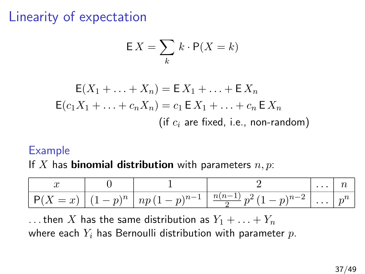# Linearity of expectation

$$
\mathsf{E}\,X = \sum_k \, k \cdot \mathsf{P}(X = k)
$$

$$
E(X_1 + \dots + X_n) = E X_1 + \dots + E X_n
$$
  
\n
$$
E(c_1 X_1 + \dots + c_n X_n) = c_1 E X_1 + \dots + c_n E X_n
$$
  
\n(if *c<sub>i</sub>* are fixed, i.e., non-random)

#### Example

If X has **binomial distribution** with parameters  $n, p$ :

| $\sim$<br>w                                    |             |                                  |                                                             | $\cdot$ $\cdot$ |        |
|------------------------------------------------|-------------|----------------------------------|-------------------------------------------------------------|-----------------|--------|
| $\sim$<br>$\overline{\phantom{0}}$<br>u<br>. . | $\bigcap n$ | $\overline{1}$<br><b>T</b><br>ιv | $\sim$<br>$\sim$<br>$\frac{1}{2}$<br>$\cdot$<br>$\sim$<br>- | . .             | $\sim$ |

... then X has the same distribution as  $Y_1 + \ldots + Y_n$ where each  $Y_i$  has Bernoulli distribution with parameter  $p$ .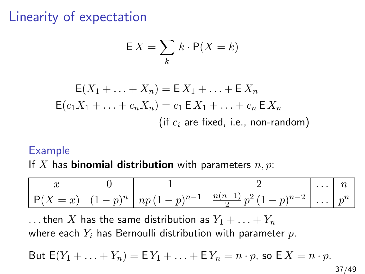# Linearity of expectation

$$
\mathsf{E}\,X = \sum_k\,k\cdot\mathsf{P}(X = k)
$$

$$
E(X_1 + \dots + X_n) = E X_1 + \dots + E X_n
$$
  
\n
$$
E(c_1 X_1 + \dots + c_n X_n) = c_1 E X_1 + \dots + c_n E X_n
$$
  
\n(if *c<sub>i</sub>* are fixed, i.e., non-random)

#### Example

If X has **binomial distribution** with parameters  $n, p$ :

| w         |             |                        |                                                                 |        |
|-----------|-------------|------------------------|-----------------------------------------------------------------|--------|
| $-r$<br>w | $n = n^{n}$ | $m110-1$<br>np<br>$-p$ | $\sim$<br>$\overline{\boldsymbol{u}}$<br>$\sim$<br>$\sim$<br>__ | $\sim$ |

... then X has the same distribution as  $Y_1 + \ldots + Y_n$ where each  $Y_i$  has Bernoulli distribution with parameter  $p$ .

But 
$$
E(Y_1 + \ldots + Y_n) = E Y_1 + \ldots + E Y_n = n \cdot p
$$
, so  $E X = n \cdot p$ .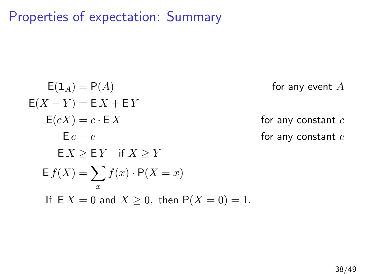Properties of expectation: Summary

$$
E(1_A) = P(A)
$$
 for any event A  
\n
$$
E(X + Y) = E X + E Y
$$
  
\n
$$
E(cX) = c \cdot EX
$$
 for any constant c  
\n
$$
E c = c
$$
 for any constant c  
\nfor any constant c  
\nfor any constant c  
\nfor any constant c  
\nfor any constant c  
\n
$$
E X \ge E Y \quad \text{if } X \ge Y
$$
  
\n
$$
E f(X) = \sum_{x} f(x) \cdot P(X = x)
$$
  
\nIf  $E X = 0$  and  $X \ge 0$ , then  $P(X = 0) = 1$ .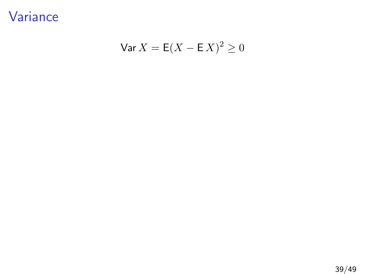Variance

$$
\text{Var}\,X = \mathsf{E}(X - \mathsf{E}\,X)^2 \ge 0
$$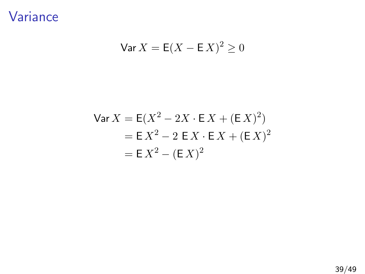Variance

$$
\text{Var}\,X = \mathsf{E}(X - \mathsf{E}\,X)^2 \ge 0
$$

$$
\begin{aligned} \n\text{Var}\,X &= \mathsf{E}(X^2 - 2X \cdot \mathsf{E}\,X + (\mathsf{E}\,X)^2) \\ \n&= \mathsf{E}\,X^2 - 2\,\mathsf{E}\,X \cdot \mathsf{E}\,X + (\mathsf{E}\,X)^2 \\ \n&= \mathsf{E}\,X^2 - (\mathsf{E}\,X)^2 \n\end{aligned}
$$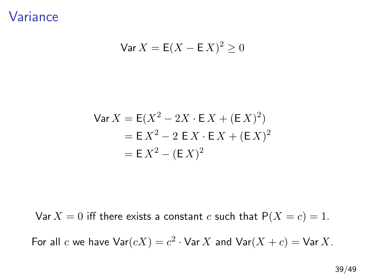Variance

$$
\text{Var}\,X = \mathsf{E}(X - \mathsf{E}\,X)^2 \ge 0
$$

$$
\begin{aligned} \n\text{Var}\,X &= \mathsf{E}(X^2 - 2X \cdot \mathsf{E}\,X + (\mathsf{E}\,X)^2) \\ \n&= \mathsf{E}\,X^2 - 2\,\mathsf{E}\,X \cdot \mathsf{E}\,X + (\mathsf{E}\,X)^2 \\ \n&= \mathsf{E}\,X^2 - (\mathsf{E}\,X)^2 \n\end{aligned}
$$

Var  $X = 0$  iff there exists a constant c such that  $P(X = c) = 1$ .

For all c we have  $\textsf{Var}(cX) = c^2 \cdot \textsf{Var}[X]$  and  $\textsf{Var}(X + c) = \textsf{Var}[X]$ .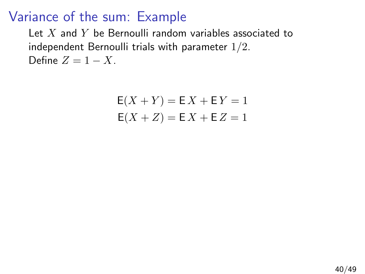## Variance of the sum: Example

Let  $X$  and  $Y$  be Bernoulli random variables associated to independent Bernoulli trials with parameter 1/2. Define  $Z = 1 - X$ .

$$
E(X + Y) = EX + EY = 1
$$
  

$$
E(X + Z) = EX + EZ = 1
$$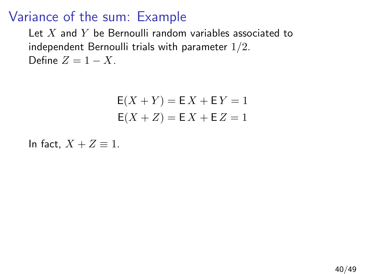## Variance of the sum: Example

Let  $X$  and  $Y$  be Bernoulli random variables associated to independent Bernoulli trials with parameter 1/2. Define  $Z = 1 - X$ .

$$
E(X + Y) = EX + EY = 1
$$
  

$$
E(X + Z) = EX + EZ = 1
$$

In fact,  $X + Z \equiv 1$ .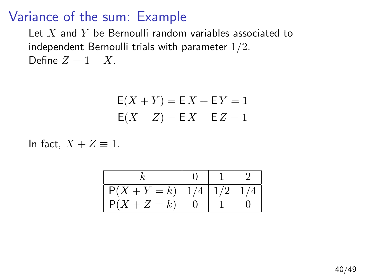### Variance of the sum: Example

Let  $X$  and  $Y$  be Bernoulli random variables associated to independent Bernoulli trials with parameter 1/2. Define  $Z = 1 - X$ .

$$
E(X + Y) = EX + EY = 1
$$
  

$$
E(X + Z) = EX + EZ = 1
$$

In fact,  $X + Z \equiv 1$ .

| $P(X + Y = k)   1/4   1/2   1/4$ |  |  |
|----------------------------------|--|--|
| $P(X+Z=k)$                       |  |  |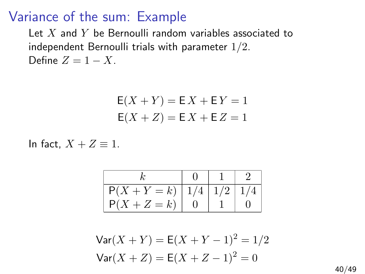#### Variance of the sum: Example

Let  $X$  and  $Y$  be Bernoulli random variables associated to independent Bernoulli trials with parameter 1/2. Define  $Z = 1 - X$ .

$$
E(X + Y) = EX + EY = 1
$$
  

$$
E(X + Z) = EX + EZ = 1
$$

In fact,  $X + Z \equiv 1$ .

| k            | 0     | 1     | 2     |
|--------------|-------|-------|-------|
| P(X + Y = k) | $1/4$ | $1/2$ | $1/4$ |
| P(X + Z = k) | 0     | 1     | 0     |

$$
Var(X + Y) = E(X + Y - 1)2 = 1/2
$$

$$
Var(X + Z) = E(X + Z - 1)2 = 0
$$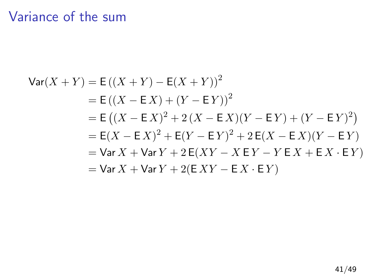# Variance of the sum

$$
\begin{aligned}\n\text{Var}(X+Y) &= \mathsf{E}\left((X+Y) - \mathsf{E}(X+Y)\right)^2 \\
&= \mathsf{E}\left((X-\mathsf{E}\,X) + (Y-\mathsf{E}\,Y)\right)^2 \\
&= \mathsf{E}\left((X-\mathsf{E}\,X)^2 + 2\,(X-\mathsf{E}\,X)(Y-\mathsf{E}\,Y) + (Y-\mathsf{E}\,Y)^2\right) \\
&= \mathsf{E}(X-\mathsf{E}\,X)^2 + \mathsf{E}(Y-\mathsf{E}\,Y)^2 + 2\,\mathsf{E}(X-\mathsf{E}\,X)(Y-\mathsf{E}\,Y) \\
&= \text{Var}\,X + \text{Var}\,Y + 2\,\mathsf{E}(XY - X\,\mathsf{E}\,Y - Y\,\mathsf{E}\,X + \mathsf{E}\,X\cdot\mathsf{E}\,Y) \\
&= \text{Var}\,X + \text{Var}\,Y + 2(\mathsf{E}\,XY - \mathsf{E}\,X\cdot\mathsf{E}\,Y)\n\end{aligned}
$$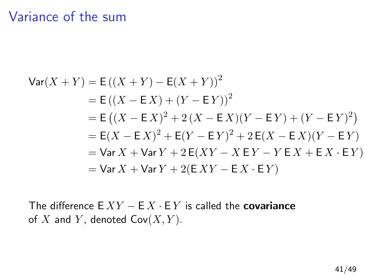### Variance of the sum

$$
\begin{aligned}\n\text{Var}(X+Y) &= \mathsf{E}\left((X+Y) - \mathsf{E}(X+Y)\right)^2 \\
&= \mathsf{E}\left((X-\mathsf{E}\,X) + (Y-\mathsf{E}\,Y)\right)^2 \\
&= \mathsf{E}\left((X-\mathsf{E}\,X)^2 + 2\,(X-\mathsf{E}\,X)(Y-\mathsf{E}\,Y) + (Y-\mathsf{E}\,Y)^2\right) \\
&= \mathsf{E}(X-\mathsf{E}\,X)^2 + \mathsf{E}(Y-\mathsf{E}\,Y)^2 + 2\,\mathsf{E}(X-\mathsf{E}\,X)(Y-\mathsf{E}\,Y) \\
&= \text{Var}\,X + \text{Var}\,Y + 2\,\mathsf{E}(XY - X\,\mathsf{E}\,Y - Y\,\mathsf{E}\,X + \mathsf{E}\,X\cdot\mathsf{E}\,Y) \\
&= \text{Var}\,X + \text{Var}\,Y + 2(\mathsf{E}\,XY - \mathsf{E}\,X\cdot\mathsf{E}\,Y)\n\end{aligned}
$$

The difference  $E XY - E X \cdot E Y$  is called the **covariance** of X and Y, denoted  $Cov(X, Y)$ .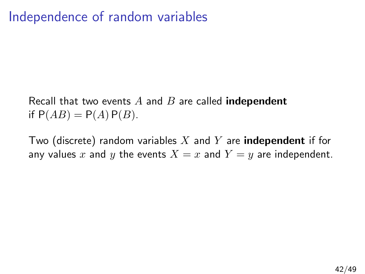# Independence of random variables

Recall that two events A and B are called **independent** if  $P(AB) = P(A) P(B)$ .

Two (discrete) random variables X and Y are **independent** if for any values x and y the events  $X = x$  and  $Y = y$  are independent.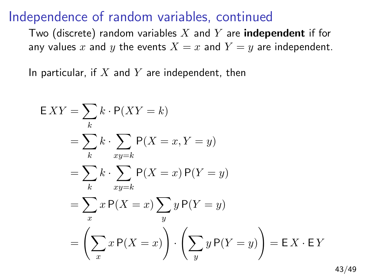Two (discrete) random variables X and Y are **independent** if for any values x and y the events  $X = x$  and  $Y = y$  are independent.

In particular, if  $X$  and  $Y$  are independent, then

$$
EXY = \sum_{k} k \cdot P(XY = k)
$$
  
=  $\sum_{k} k \cdot \sum_{xy=k} P(X = x, Y = y)$   
=  $\sum_{k} k \cdot \sum_{xy=k} P(X = x) P(Y = y)$   
=  $\sum_{x} x P(X = x) \sum_{y} y P(Y = y)$   
=  $\left(\sum_{x} x P(X = x)\right) \cdot \left(\sum_{y} y P(Y = y)\right) = EX \cdot EY$ 

43/49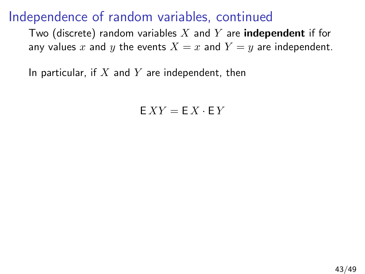Two (discrete) random variables X and Y are **independent** if for any values x and y the events  $X = x$  and  $Y = y$  are independent.

In particular, if  $X$  and  $Y$  are independent, then

 $E XY = E X \cdot E Y$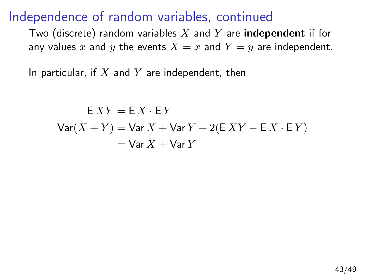Two (discrete) random variables X and Y are **independent** if for any values x and y the events  $X = x$  and  $Y = y$  are independent.

In particular, if  $X$  and  $Y$  are independent, then

 $F XY = F X \cdot F Y$  $Var(X + Y) = Var X + Var Y + 2(E X Y - EX \cdot E Y)$  $=$  Var  $X +$  Var  $Y$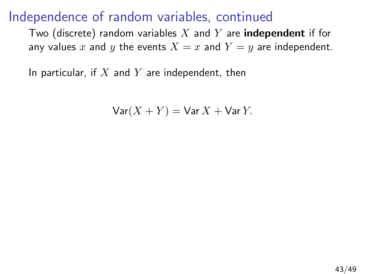Two (discrete) random variables X and Y are **independent** if for any values x and y the events  $X = x$  and  $Y = y$  are independent.

In particular, if  $X$  and  $Y$  are independent, then

$$
\text{Var}(X+Y) = \text{Var}\,X + \text{Var}\,Y.
$$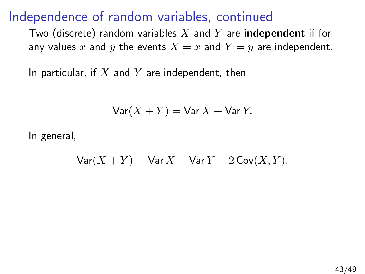Two (discrete) random variables X and Y are **independent** if for any values x and y the events  $X = x$  and  $Y = y$  are independent.

In particular, if  $X$  and  $Y$  are independent, then

$$
Var(X + Y) = Var X + Var Y.
$$

In general,

$$
\text{Var}(X+Y) = \text{Var}\,X + \text{Var}\,Y + 2\,\text{Cov}(X,Y).
$$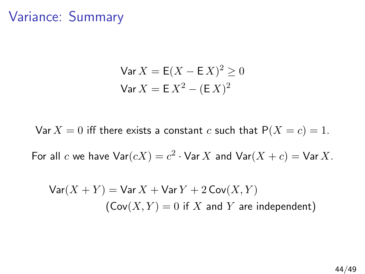## Variance: Summary

$$
\text{Var}\,X = \text{E}(X - \text{E}\,X)^2 \ge 0
$$
\n
$$
\text{Var}\,X = \text{E}\,X^2 - (\text{E}\,X)^2
$$

Var  $X = 0$  iff there exists a constant c such that  $P(X = c) = 1$ .

For all c we have  $\textsf{Var}(cX) = c^2 \cdot \textsf{Var}[X]$  and  $\textsf{Var}(X + c) = \textsf{Var}[X]$ .

$$
Var(X + Y) = Var X + Var Y + 2 Cov(X, Y)
$$
  
(Cov(X, Y) = 0 if X and Y are independent)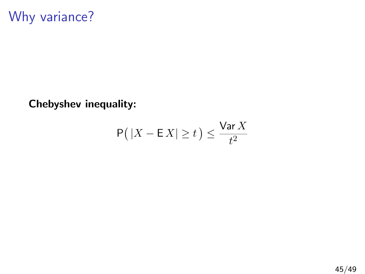Chebyshev inequality:

$$
\mathsf{P}\big(\left|X - \mathsf{E}\,X\right| \geq t\,\big) \leq \frac{\mathsf{Var}\,X}{t^2}
$$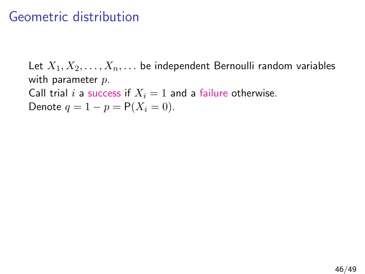#### Geometric distribution

Let  $X_1, X_2, \ldots, X_n, \ldots$  be independent Bernoulli random variables with parameter  $p$ . Call trial i a success if  $X_i = 1$  and a failure otherwise. Denote  $q = 1 - p = P(X_i = 0)$ .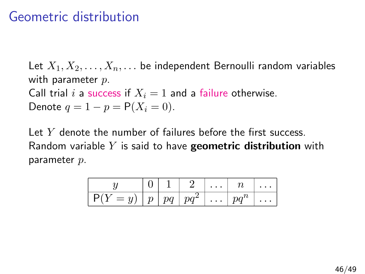#### Geometric distribution

Let  $X_1, X_2, \ldots, X_n, \ldots$  be independent Bernoulli random variables with parameter  $p$ . Call trial i a success if  $X_i = 1$  and a failure otherwise. Denote  $q = 1 - p = P(X_i = 0)$ .

Let  $Y$  denote the number of failures before the first success. Random variable Y is said to have **geometric distribution** with parameter p.

|       |  |                | $\cdots$     |        |          |
|-------|--|----------------|--------------|--------|----------|
| $= u$ |  | $\mu + pq^{2}$ | $  \ldots  $ | $pq^n$ | $\cdots$ |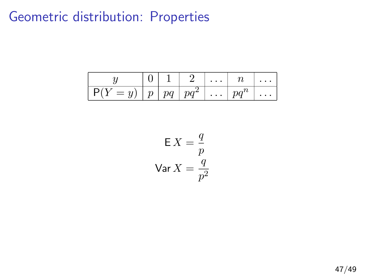# Geometric distribution: Properties

|       |    | $\cdots$ |          | $\cdots$ |
|-------|----|----------|----------|----------|
| $= u$ | pq | $\cdots$ | $pa^{n}$ | $\cdots$ |

$$
E X = \frac{q}{p}
$$
  
Var X = 
$$
\frac{q}{p^2}
$$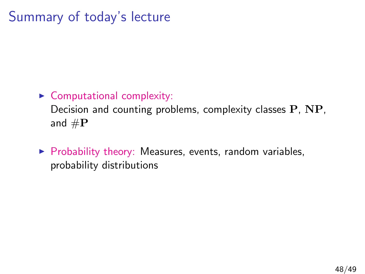# Summary of today's lecture

#### $\triangleright$  Computational complexity:

Decision and counting problems, complexity classes P, NP, and  $\#P$ 

 $\triangleright$  Probability theory: Measures, events, random variables, probability distributions